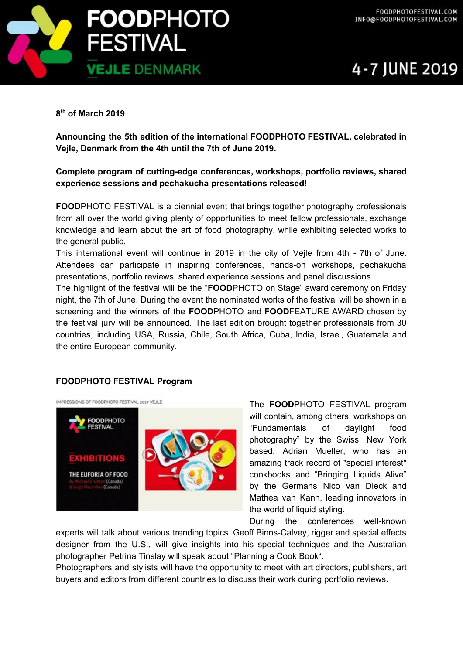



## **8 th of March 2019**

**Announcing the 5th edition of the international FOODPHOTO FESTIVAL, celebrated in Vejle, Denmark from the 4th until the 7th of June 2019.**

# **Complete program of cutting-edge conferences, workshops, portfolio reviews, shared experience sessions and pechakucha presentations released!**

**FOOD**PHOTO FESTIVAL is a biennial event that brings together photography professionals from all over the world giving plenty of opportunities to meet fellow professionals, exchange knowledge and learn about the art of food photography, while exhibiting selected works to the general public.

This international event will continue in 2019 in the city of Vejle from 4th - 7th of June. Attendees can participate in inspiring conferences, hands-on workshops, pechakucha presentations, portfolio reviews, shared experience sessions and panel discussions.

The highlight of the festival will be the "**FOOD**PHOTO on Stage" award ceremony on Friday night, the 7th of June. During the event the nominated works of the festival will be shown in a screening and the winners of the **FOOD**PHOTO and **FOOD**FEATURE AWARD chosen by the festival jury will be announced. The last edition brought together professionals from 30 countries, including USA, Russia, Chile, South Africa, Cuba, India, Israel, Guatemala and the entire European community.

#### **FOODPHOTO FESTIVAL Program**

IMPRESSIONS OF FOODPHOTO FESTIVAL 2017 VEJLE



The **FOOD**PHOTO FESTIVAL program will contain, among others, workshops on "Fundamentals of daylight food photography" by the Swiss, New York based, Adrian Mueller, who has an amazing track record of "special interest" cookbooks and "Bringing Liquids Alive" by the Germans Nico van Dieck and Mathea van Kann, leading innovators in the world of liquid styling.

During the conferences well-known

experts will talk about various trending topics. Geoff Binns-Calvey, rigger and special effects designer from the U.S., will give insights into his special techniques and the Australian photographer Petrina Tinslay will speak about "Planning a Cook Book".

Photographers and stylists will have the opportunity to meet with art directors, publishers, art buyers and editors from different countries to discuss their work during portfolio reviews.